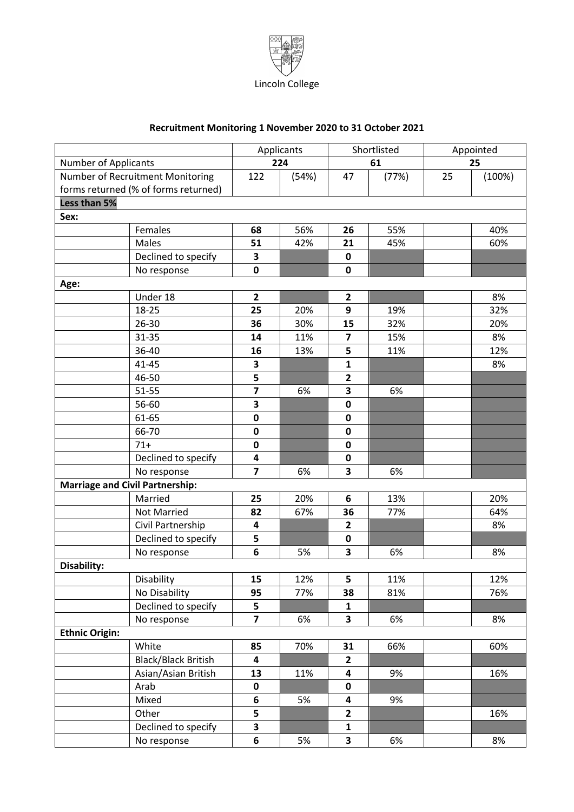

## **Recruitment Monitoring 1 November 2020 to 31 October 2021**

|                                        |                                      | Applicants              |       | Shortlisted             |       | Appointed |        |
|----------------------------------------|--------------------------------------|-------------------------|-------|-------------------------|-------|-----------|--------|
| <b>Number of Applicants</b>            |                                      | 224                     |       | 61                      |       | 25        |        |
| Number of Recruitment Monitoring       |                                      | 122                     | (54%) | 47                      | (77%) | 25        | (100%) |
|                                        | forms returned (% of forms returned) |                         |       |                         |       |           |        |
| Less than 5%                           |                                      |                         |       |                         |       |           |        |
| Sex:                                   |                                      |                         |       |                         |       |           |        |
|                                        | Females                              | 68                      | 56%   | 26                      | 55%   |           | 40%    |
|                                        | Males                                | 51                      | 42%   | 21                      | 45%   |           | 60%    |
|                                        | Declined to specify                  | 3                       |       | $\pmb{0}$               |       |           |        |
|                                        | No response                          | $\mathbf 0$             |       | $\mathbf 0$             |       |           |        |
| Age:                                   |                                      |                         |       |                         |       |           |        |
|                                        | Under 18                             | $\mathbf{2}$            |       | $\overline{2}$          |       |           | 8%     |
|                                        | 18-25                                | 25                      | 20%   | 9                       | 19%   |           | 32%    |
|                                        | 26-30                                | 36                      | 30%   | 15                      | 32%   |           | 20%    |
|                                        | 31-35                                | 14                      | 11%   | $\overline{\mathbf{z}}$ | 15%   |           | 8%     |
|                                        | 36-40                                | 16                      | 13%   | 5                       | 11%   |           | 12%    |
|                                        | 41-45                                | 3                       |       | $\mathbf{1}$            |       |           | 8%     |
|                                        | 46-50                                | 5                       |       | $\mathbf{2}$            |       |           |        |
|                                        | 51-55                                | $\overline{\mathbf{z}}$ | 6%    | 3                       | 6%    |           |        |
|                                        | 56-60                                | 3                       |       | $\mathbf 0$             |       |           |        |
|                                        | 61-65                                | $\mathbf 0$             |       | $\mathbf 0$             |       |           |        |
|                                        | 66-70                                | 0                       |       | $\mathbf 0$             |       |           |        |
|                                        | $71+$                                | 0                       |       | $\mathbf 0$             |       |           |        |
|                                        | Declined to specify                  | 4                       |       | $\pmb{0}$               |       |           |        |
|                                        | No response                          | $\overline{\mathbf{z}}$ | 6%    | 3                       | 6%    |           |        |
| <b>Marriage and Civil Partnership:</b> |                                      |                         |       |                         |       |           |        |
|                                        | Married                              | 25                      | 20%   | 6                       | 13%   |           | 20%    |
|                                        | <b>Not Married</b>                   | 82                      | 67%   | 36                      | 77%   |           | 64%    |
|                                        | Civil Partnership                    | 4                       |       | $\overline{2}$          |       |           | 8%     |
|                                        | Declined to specify                  | 5                       |       | $\pmb{0}$               |       |           |        |
|                                        | No response                          | 6                       | 5%    | 3                       | 6%    |           | 8%     |
| Disability:                            |                                      |                         |       |                         |       |           |        |
|                                        | Disability                           | 15                      | 12%   | 5                       | 11%   |           | 12%    |
|                                        | No Disability                        | 95                      | 77%   | 38                      | 81%   |           | 76%    |
|                                        | Declined to specify                  | 5                       |       | $\mathbf{1}$            |       |           |        |
|                                        | No response                          | $\overline{\mathbf{z}}$ | 6%    | 3                       | 6%    |           | 8%     |
| <b>Ethnic Origin:</b>                  |                                      |                         |       |                         |       |           |        |
|                                        | White                                | 85                      | 70%   | 31                      | 66%   |           | 60%    |
|                                        | <b>Black/Black British</b>           | 4                       |       | $\overline{2}$          |       |           |        |
|                                        | Asian/Asian British                  | 13                      | 11%   | 4                       | 9%    |           | 16%    |
|                                        | Arab                                 | $\pmb{0}$               |       | $\pmb{0}$               |       |           |        |
|                                        | Mixed                                | 6                       | 5%    | 4                       | 9%    |           |        |
|                                        | Other                                | 5                       |       | $\mathbf{2}$            |       |           | 16%    |
|                                        | Declined to specify                  | 3                       |       | $\mathbf{1}$            |       |           |        |
|                                        | No response                          | 6                       | 5%    | 3                       | 6%    |           | 8%     |